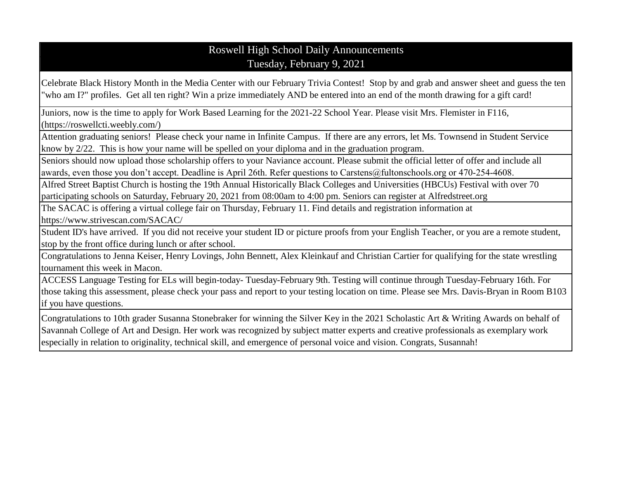## Roswell High School Daily Announcements Tuesday, February 9, 2021

Celebrate Black History Month in the Media Center with our February Trivia Contest! Stop by and grab and answer sheet and guess the ten 'who am I?" profiles. Get all ten right? Win a prize immediately AND be entered into an end of the month drawing for a gift card!

Juniors, now is the time to apply for Work Based Learning for the 2021-22 School Year. Please visit Mrs. Flemister in F116, (https://roswellcti.weebly.com/)

Attention graduating seniors! Please check your name in Infinite Campus. If there are any errors, let Ms. Townsend in Student Service know by 2/22. This is how your name will be spelled on your diploma and in the graduation program.

Seniors should now upload those scholarship offers to your Naviance account. Please submit the official letter of offer and include all awards, even those you don't accept. Deadline is April 26th. Refer questions to Carstens@fultonschools.org or 470-254-4608.

Alfred Street Baptist Church is hosting the 19th Annual Historically Black Colleges and Universities (HBCUs) Festival with over 70 participating schools on Saturday, February 20, 2021 from 08:00am to 4:00 pm. Seniors can register at Alfredstreet.org

The SACAC is offering a virtual college fair on Thursday, February 11. Find details and registration information at https://www.strivescan.com/SACAC/

Student ID's have arrived. If you did not receive your student ID or picture proofs from your English Teacher, or you are a remote student, stop by the front office during lunch or after school.

Congratulations to Jenna Keiser, Henry Lovings, John Bennett, Alex Kleinkauf and Christian Cartier for qualifying for the state wrestling tournament this week in Macon.

ACCESS Language Testing for ELs will begin-today- Tuesday-February 9th. Testing will continue through Tuesday-February 16th. For those taking this assessment, please check your pass and report to your testing location on time. Please see Mrs. Davis-Bryan in Room B103 if you have questions.

Congratulations to 10th grader Susanna Stonebraker for winning the Silver Key in the 2021 Scholastic Art & Writing Awards on behalf of Savannah College of Art and Design. Her work was recognized by subject matter experts and creative professionals as exemplary work especially in relation to originality, technical skill, and emergence of personal voice and vision. Congrats, Susannah!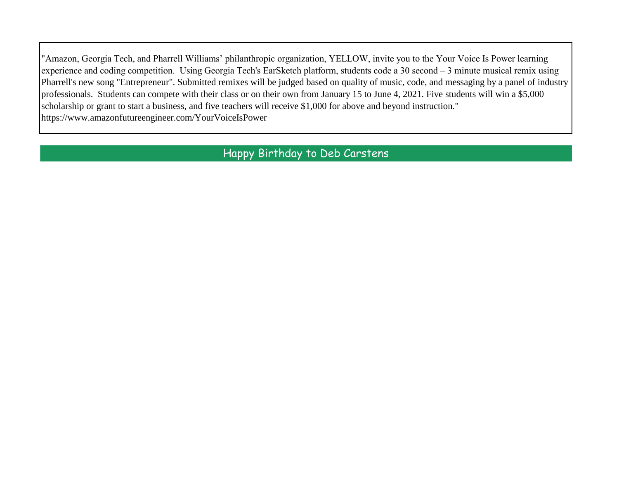"Amazon, Georgia Tech, and Pharrell Williams' philanthropic organization, YELLOW, invite you to the Your Voice Is Power learning experience and coding competition. Using Georgia Tech's EarSketch platform, students code a 30 second – 3 minute musical remix using Pharrell's new song "Entrepreneur". Submitted remixes will be judged based on quality of music, code, and messaging by a panel of industry professionals. Students can compete with their class or on their own from January 15 to June 4, 2021. Five students will win a \$5,000 scholarship or grant to start a business, and five teachers will receive \$1,000 for above and beyond instruction." https://www.amazonfutureengineer.com/YourVoiceIsPower

Happy Birthday to Deb Carstens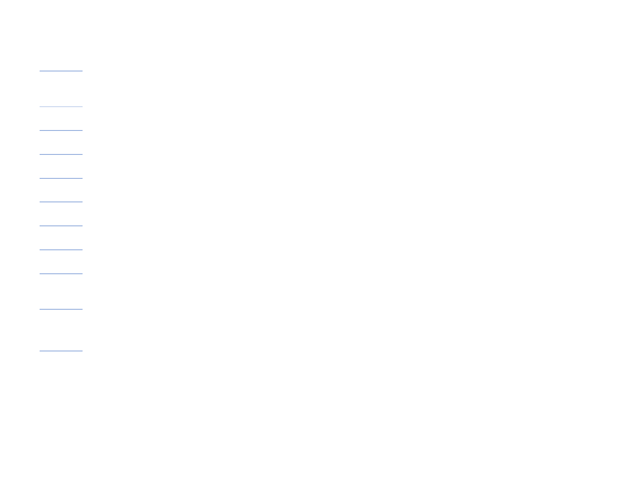and a  $\begin{tabular}{lcccccc} \multicolumn{2}{c|}{\textbf{1} & \textbf{1} & \textbf{1} & \textbf{1} & \textbf{1} & \textbf{1} & \textbf{1} & \textbf{1} & \textbf{1} & \textbf{1} & \textbf{1} & \textbf{1} & \textbf{1} & \textbf{1} & \textbf{1} & \textbf{1} & \textbf{1} & \textbf{1} & \textbf{1} & \textbf{1} & \textbf{1} & \textbf{1} & \textbf{1} & \textbf{1} & \textbf{1} & \textbf{1} & \textbf{1} & \textbf{1} & \textbf{$ <u> Albany a Communication and the Communication of the Communication and the Communication and the Communication of the Communication and the Communication and the Communication and the Communication and the Communication a</u> <u> Albanya (Albanya Karaja</u> <u> The Common State Common</u> **Contract Contract Contract**  $\begin{tabular}{lcccccc} \multicolumn{2}{c|}{\textbf{1} & \textbf{1} & \textbf{1} & \textbf{1} & \textbf{1} & \textbf{1} & \textbf{1} & \textbf{1} & \textbf{1} & \textbf{1} & \textbf{1} & \textbf{1} & \textbf{1} & \textbf{1} & \textbf{1} & \textbf{1} & \textbf{1} & \textbf{1} & \textbf{1} & \textbf{1} & \textbf{1} & \textbf{1} & \textbf{1} & \textbf{1} & \textbf{1} & \textbf{1} & \textbf{1} & \textbf{1} & \textbf{$  $\overline{\phantom{a}}$ **Service Controller**